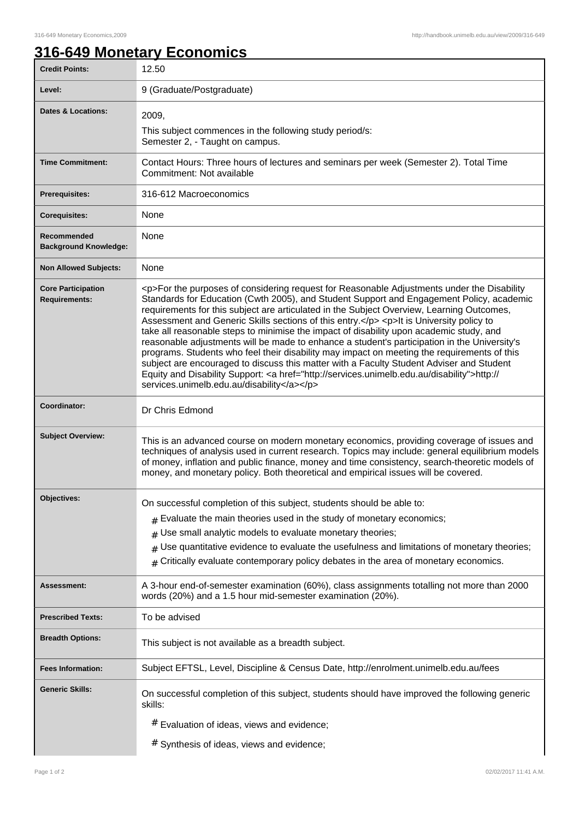## **316-649 Monetary Economics**

| <b>Credit Points:</b>                             | 12.50                                                                                                                                                                                                                                                                                                                                                                                                                                                                                                                                                                                                                                                                                                                                                                                                                                                                                                                        |
|---------------------------------------------------|------------------------------------------------------------------------------------------------------------------------------------------------------------------------------------------------------------------------------------------------------------------------------------------------------------------------------------------------------------------------------------------------------------------------------------------------------------------------------------------------------------------------------------------------------------------------------------------------------------------------------------------------------------------------------------------------------------------------------------------------------------------------------------------------------------------------------------------------------------------------------------------------------------------------------|
| Level:                                            | 9 (Graduate/Postgraduate)                                                                                                                                                                                                                                                                                                                                                                                                                                                                                                                                                                                                                                                                                                                                                                                                                                                                                                    |
| Dates & Locations:                                | 2009,<br>This subject commences in the following study period/s:<br>Semester 2, - Taught on campus.                                                                                                                                                                                                                                                                                                                                                                                                                                                                                                                                                                                                                                                                                                                                                                                                                          |
| <b>Time Commitment:</b>                           | Contact Hours: Three hours of lectures and seminars per week (Semester 2). Total Time<br>Commitment: Not available                                                                                                                                                                                                                                                                                                                                                                                                                                                                                                                                                                                                                                                                                                                                                                                                           |
| <b>Prerequisites:</b>                             | 316-612 Macroeconomics                                                                                                                                                                                                                                                                                                                                                                                                                                                                                                                                                                                                                                                                                                                                                                                                                                                                                                       |
| <b>Corequisites:</b>                              | None                                                                                                                                                                                                                                                                                                                                                                                                                                                                                                                                                                                                                                                                                                                                                                                                                                                                                                                         |
| Recommended<br><b>Background Knowledge:</b>       | None                                                                                                                                                                                                                                                                                                                                                                                                                                                                                                                                                                                                                                                                                                                                                                                                                                                                                                                         |
| <b>Non Allowed Subjects:</b>                      | None                                                                                                                                                                                                                                                                                                                                                                                                                                                                                                                                                                                                                                                                                                                                                                                                                                                                                                                         |
| <b>Core Participation</b><br><b>Requirements:</b> | <p>For the purposes of considering request for Reasonable Adjustments under the Disability<br/>Standards for Education (Cwth 2005), and Student Support and Engagement Policy, academic<br/>requirements for this subject are articulated in the Subject Overview, Learning Outcomes,<br/>Assessment and Generic Skills sections of this entry.</p> <p>lt is University policy to<br/>take all reasonable steps to minimise the impact of disability upon academic study, and<br/>reasonable adjustments will be made to enhance a student's participation in the University's<br/>programs. Students who feel their disability may impact on meeting the requirements of this<br/>subject are encouraged to discuss this matter with a Faculty Student Adviser and Student<br/>Equity and Disability Support: &lt; a href="http://services.unimelb.edu.au/disability"&gt;http://<br/>services.unimelb.edu.au/disability</p> |
| Coordinator:                                      | Dr Chris Edmond                                                                                                                                                                                                                                                                                                                                                                                                                                                                                                                                                                                                                                                                                                                                                                                                                                                                                                              |
| <b>Subject Overview:</b>                          | This is an advanced course on modern monetary economics, providing coverage of issues and<br>techniques of analysis used in current research. Topics may include: general equilibrium models<br>of money, inflation and public finance, money and time consistency, search-theoretic models of<br>money, and monetary policy. Both theoretical and empirical issues will be covered.                                                                                                                                                                                                                                                                                                                                                                                                                                                                                                                                         |
| Objectives:                                       | On successful completion of this subject, students should be able to:<br>$#$ Evaluate the main theories used in the study of monetary economics;<br>Use small analytic models to evaluate monetary theories;<br>#<br>Use quantitative evidence to evaluate the usefulness and limitations of monetary theories;<br>#<br>Critically evaluate contemporary policy debates in the area of monetary economics.                                                                                                                                                                                                                                                                                                                                                                                                                                                                                                                   |
| <b>Assessment:</b>                                | A 3-hour end-of-semester examination (60%), class assignments totalling not more than 2000<br>words (20%) and a 1.5 hour mid-semester examination (20%).                                                                                                                                                                                                                                                                                                                                                                                                                                                                                                                                                                                                                                                                                                                                                                     |
| <b>Prescribed Texts:</b>                          | To be advised                                                                                                                                                                                                                                                                                                                                                                                                                                                                                                                                                                                                                                                                                                                                                                                                                                                                                                                |
| <b>Breadth Options:</b>                           | This subject is not available as a breadth subject.                                                                                                                                                                                                                                                                                                                                                                                                                                                                                                                                                                                                                                                                                                                                                                                                                                                                          |
| <b>Fees Information:</b>                          | Subject EFTSL, Level, Discipline & Census Date, http://enrolment.unimelb.edu.au/fees                                                                                                                                                                                                                                                                                                                                                                                                                                                                                                                                                                                                                                                                                                                                                                                                                                         |
| <b>Generic Skills:</b>                            | On successful completion of this subject, students should have improved the following generic<br>skills:                                                                                                                                                                                                                                                                                                                                                                                                                                                                                                                                                                                                                                                                                                                                                                                                                     |
|                                                   | # Evaluation of ideas, views and evidence;                                                                                                                                                                                                                                                                                                                                                                                                                                                                                                                                                                                                                                                                                                                                                                                                                                                                                   |
|                                                   | # Synthesis of ideas, views and evidence;                                                                                                                                                                                                                                                                                                                                                                                                                                                                                                                                                                                                                                                                                                                                                                                                                                                                                    |